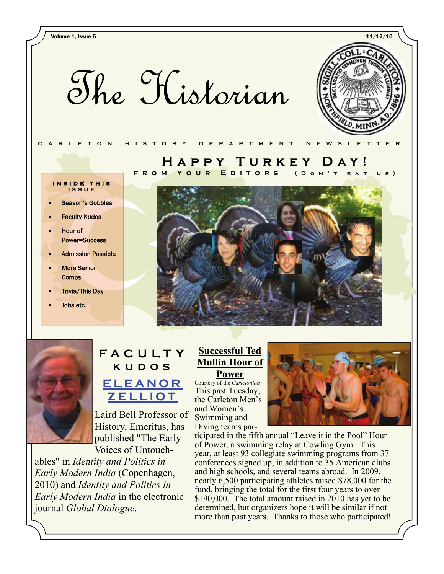The Historian



#### **CARLETON HISTORY DEPARTMENT NEWSLETTER**

#### **INSIDE THIS ISSUE**

- Season's Gobbles
- Faculty Kudos
- Hour of Power=Success
- Admission Possible
- More Senior **Comps**
- Trivia/This Day
- Jobs etc.



**Happy Turkey Day!** 



# **[ELEANOR](http://apps.carleton.edu/campus/weekly/?story_id=684171&issue_id=653393)  [ZELLIOT](http://apps.carleton.edu/campus/weekly/?story_id=684171&issue_id=653393) FACULT Y kudos**

Laird Bell Professor of History, Emeritus, has published "The Early Voices of Untouch-

ables" in *Identity and Politics in Early Modern India* (Copenhagen, 2010) and *Identity and Politics in Early Modern India* in the electronic journal *Global Dialogue*.

#### **Successful Ted Mullin Hour of Power**

Courtesy of the *Carletonian* This past Tuesday, the Carleton Men's and Women's Swimming and Diving teams par-



ticipated in the fifth annual "Leave it in the Pool" Hour of Power, a swimming relay at Cowling Gym. This year, at least 93 collegiate swimming programs from 37 conferences signed up, in addition to 35 American clubs and high schools, and several teams abroad. In 2009, nearly 6,500 participating athletes raised \$78,000 for the fund, bringing the total for the first four years to over \$190,000. The total amount raised in 2010 has yet to be determined, but organizers hope it will be similar if not more than past years. Thanks to those who participated!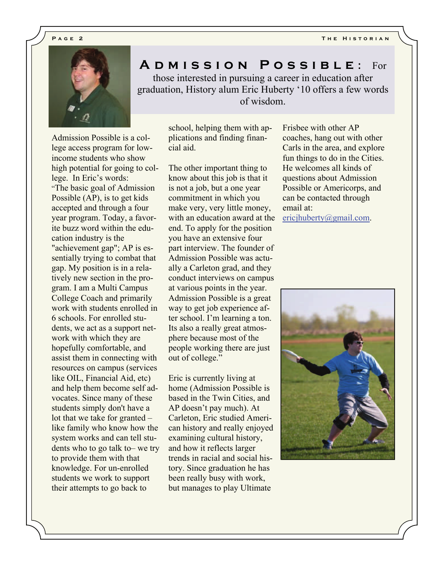

Admission Possible is a college access program for lowincome students who show high potential for going to college. In Eric's words: "The basic goal of Admission Possible (AP), is to get kids accepted and through a four year program. Today, a favorite buzz word within the education industry is the "achievement gap"; AP is essentially trying to combat that gap. My position is in a relatively new section in the program. I am a Multi Campus College Coach and primarily work with students enrolled in 6 schools. For enrolled students, we act as a support network with which they are hopefully comfortable, and assist them in connecting with resources on campus (services like OIL, Financial Aid, etc) and help them become self advocates. Since many of these students simply don't have a lot that we take for granted – like family who know how the system works and can tell students who to go talk to– we try to provide them with that knowledge. For un-enrolled students we work to support their attempts to go back to

**Admission Possible :** For

those interested in pursuing a career in education after graduation, History alum Eric Huberty '10 offers a few words of wisdom.

> school, helping them with applications and finding financial aid.

The other important thing to know about this job is that it is not a job, but a one year commitment in which you make very, very little money, with an education award at the end. To apply for the position you have an extensive four part interview. The founder of Admission Possible was actually a Carleton grad, and they conduct interviews on campus at various points in the year. Admission Possible is a great way to get job experience after school. I'm learning a ton. Its also a really great atmosphere because most of the people working there are just out of college."

Eric is currently living at home (Admission Possible is based in the Twin Cities, and AP doesn't pay much). At Carleton, Eric studied American history and really enjoyed examining cultural history, and how it reflects larger trends in racial and social history. Since graduation he has been really busy with work, but manages to play Ultimate

Frisbee with other AP coaches, hang out with other Carls in the area, and explore fun things to do in the Cities. He welcomes all kinds of questions about Admission Possible or Americorps, and can be contacted through email at:

[ericjhuberty@gmail.com](mailto:ericjhuberty@gmail.com).

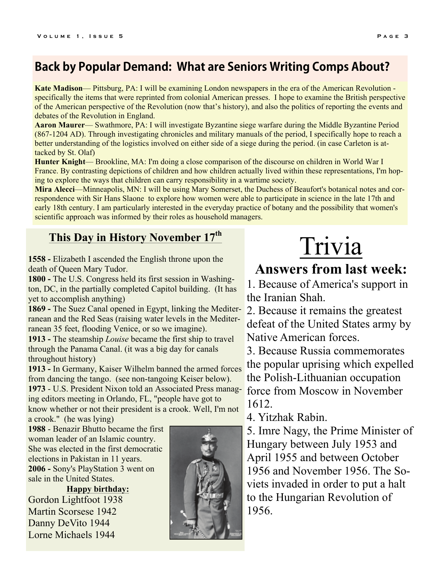# **Back by Popular Demand: What are Seniors Writing Comps About?**

**Kate Madison**— Pittsburg, PA: I will be examining London newspapers in the era of the American Revolution specifically the items that were reprinted from colonial American presses. I hope to examine the British perspective of the American perspective of the Revolution (now that's history), and also the politics of reporting the events and debates of the Revolution in England.

**Aaron Maurer**— Swathmore, PA: I will investigate Byzantine siege warfare during the Middle Byzantine Period (867-1204 AD). Through investigating chronicles and military manuals of the period, I specifically hope to reach a better understanding of the logistics involved on either side of a siege during the period. (in case Carleton is attacked by St. Olaf)

**Hunter Knight**— Brookline, MA: I'm doing a close comparison of the discourse on children in World War I France. By contrasting depictions of children and how children actually lived within these representations, I'm hoping to explore the ways that children can carry responsibility in a wartime society.

**Mira Alecci**—Minneapolis, MN: I will be using Mary Somerset, the Duchess of Beaufort's botanical notes and correspondence with Sir Hans Slaone to explore how women were able to participate in science in the late 17th and early 18th century. I am particularly interested in the everyday practice of botany and the possibility that women's scientific approach was informed by their roles as household managers.

### This Day in History November 17<sup>th</sup>

**1558 -** Elizabeth I ascended the English throne upon the death of Queen Mary Tudor.

**1800 -** The U.S. Congress held its first session in Washington, DC, in the partially completed Capitol building. (It has yet to accomplish anything)

**1869 -** The Suez Canal opened in Egypt, linking the Mediterranean and the Red Seas (raising water levels in the Mediterranean 35 feet, flooding Venice, or so we imagine).

**1913 -** The steamship *Louise* became the first ship to travel through the Panama Canal. (it was a big day for canals throughout history)

**1913 -** In Germany, Kaiser Wilhelm banned the armed forces from dancing the tango. (see non-tangoing Keiser below).

**1973** - U.S. President Nixon told an Associated Press manag-force from Moscow in November ing editors meeting in Orlando, FL, "people have got to know whether or not their president is a crook. Well, I'm not

a crook." (he was lying)

**1988** - Benazir Bhutto became the first woman leader of an Islamic country. She was elected in the first democratic elections in Pakistan in 11 years. **2006 -** Sony's PlayStation 3 went on sale in the United States.

**Happy birthday:** Gordon Lightfoot 1938 Martin Scorsese 1942 Danny DeVito 1944 Lorne Michaels 1944



# Trivia

# **Answers from last week:**

1. Because of America's support in the Iranian Shah.

2. Because it remains the greatest defeat of the United States army by Native American forces.

3. Because Russia commemorates the popular uprising which expelled the Polish-Lithuanian occupation 1612.

4. Yitzhak Rabin.

5. Imre Nagy, the Prime Minister of Hungary between July 1953 and April 1955 and between October 1956 and November 1956. The Soviets invaded in order to put a halt to the Hungarian Revolution of 1956.